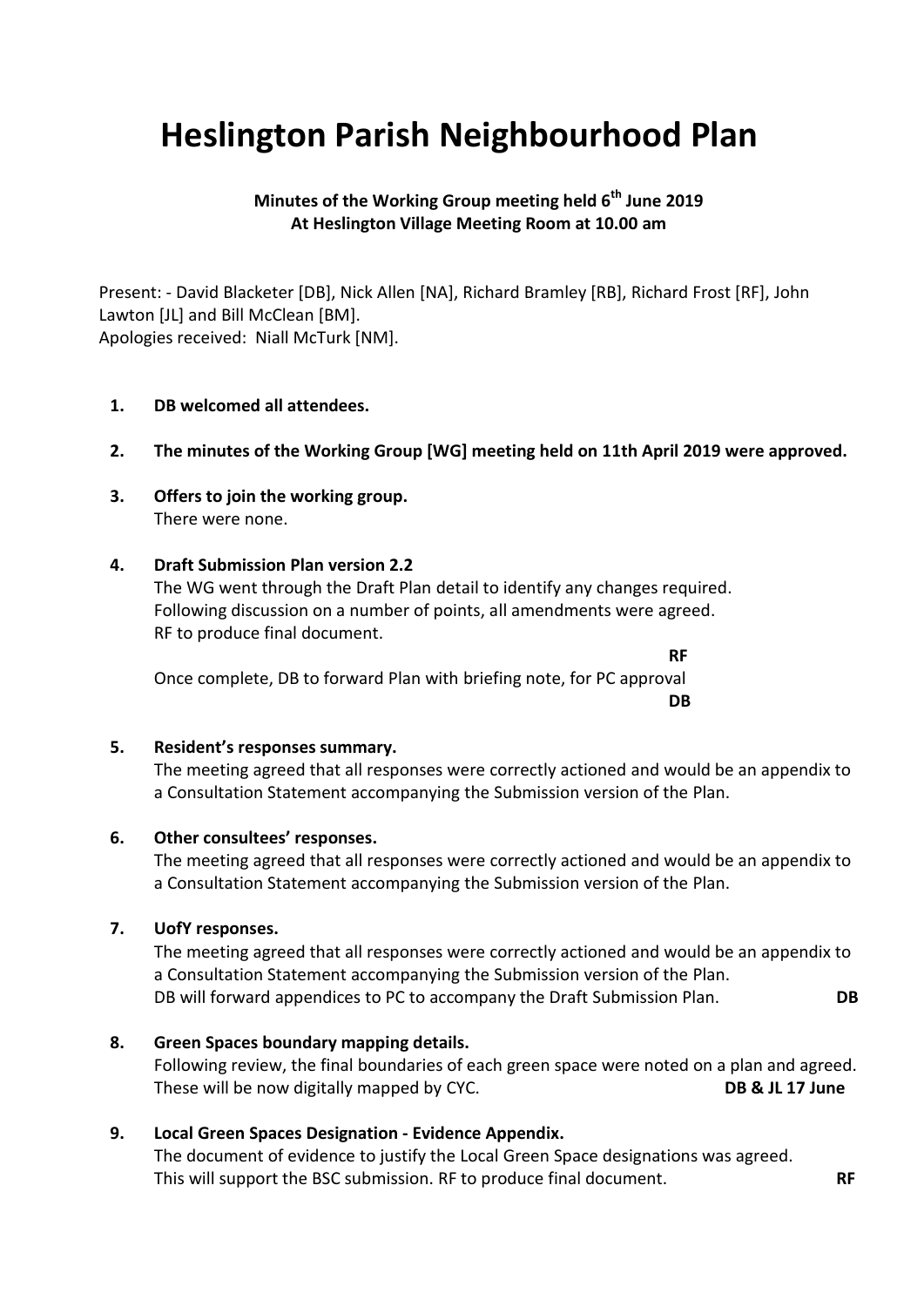# **Heslington Parish Neighbourhood Plan**

# **Minutes of the Working Group meeting held 6 th June 2019 At Heslington Village Meeting Room at 10.00 am**

Present: - David Blacketer [DB], Nick Allen [NA], Richard Bramley [RB], Richard Frost [RF], John Lawton [JL] and Bill McClean [BM]. Apologies received: Niall McTurk [NM].

#### **1. DB welcomed all attendees.**

#### **2. The minutes of the Working Group [WG] meeting held on 11th April 2019 were approved.**

**3. Offers to join the working group.** There were none.

#### **4. Draft Submission Plan version 2.2**

The WG went through the Draft Plan detail to identify any changes required. Following discussion on a number of points, all amendments were agreed. RF to produce final document.

**RF** Once complete, DB to forward Plan with briefing note, for PC approval **DB**

#### **5. Resident's responses summary.**

The meeting agreed that all responses were correctly actioned and would be an appendix to a Consultation Statement accompanying the Submission version of the Plan.

#### **6. Other consultees' responses.**

The meeting agreed that all responses were correctly actioned and would be an appendix to a Consultation Statement accompanying the Submission version of the Plan.

#### **7. UofY responses.**

The meeting agreed that all responses were correctly actioned and would be an appendix to a Consultation Statement accompanying the Submission version of the Plan. DB will forward appendices to PC to accompany the Draft Submission Plan. **DB**

#### **8. Green Spaces boundary mapping details.**

Following review, the final boundaries of each green space were noted on a plan and agreed. These will be now digitally mapped by CYC. **DB & JL 17 June**

## **9. Local Green Spaces Designation - Evidence Appendix.**

The document of evidence to justify the Local Green Space designations was agreed. This will support the BSC submission. RF to produce final document. **RF**